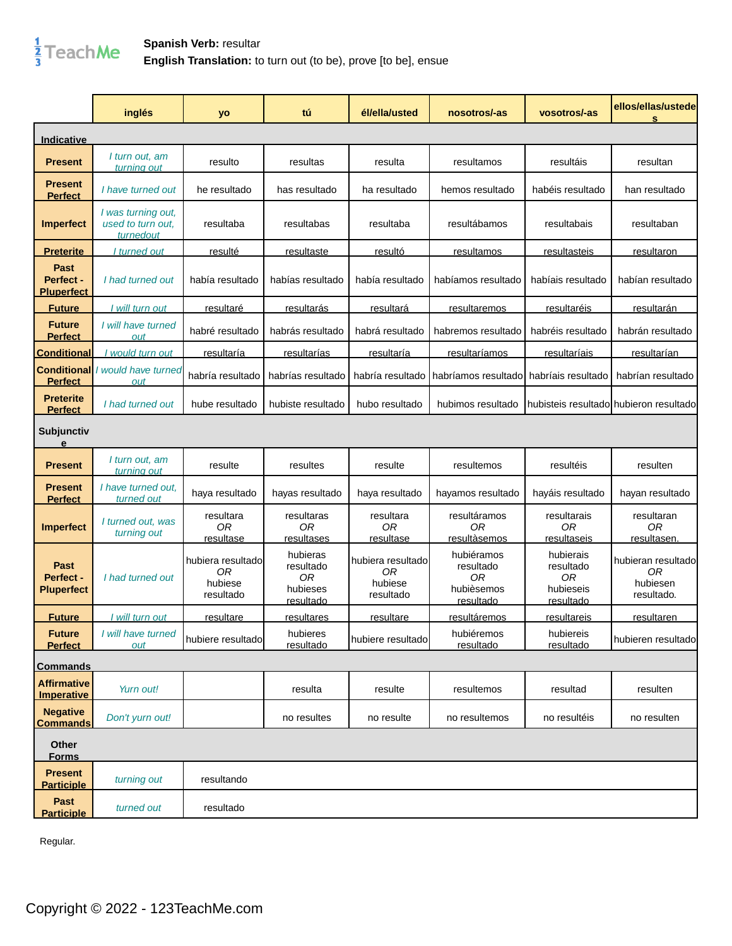

**Spanish Verb:** resultar **English Translation:** to turn out (to be), prove [to be], ensue

|                                        | inglés                                                | yo                                              | tú                                                   | él/ella/usted                                   | nosotros/-as                                             | vosotros/-as                                           | ellos/ellas/ustede<br>s                            |
|----------------------------------------|-------------------------------------------------------|-------------------------------------------------|------------------------------------------------------|-------------------------------------------------|----------------------------------------------------------|--------------------------------------------------------|----------------------------------------------------|
| Indicative                             |                                                       |                                                 |                                                      |                                                 |                                                          |                                                        |                                                    |
| <b>Present</b>                         | I turn out, am<br>turning out                         | resulto                                         | resultas                                             | resulta                                         | resultamos                                               | resultáis                                              | resultan                                           |
| <b>Present</b><br><b>Perfect</b>       | I have turned out                                     | he resultado                                    | has resultado                                        | ha resultado                                    | hemos resultado                                          | habéis resultado                                       | han resultado                                      |
| <b>Imperfect</b>                       | I was turning out,<br>used to turn out.<br>turned out | resultaba                                       | resultabas                                           | resultaba                                       | resultábamos                                             | resultabais                                            | resultaban                                         |
| <b>Preterite</b>                       | I turned out                                          | resulté                                         | resultaste                                           | resultó                                         | <u>resultamos</u>                                        | resultasteis                                           | <u>resultaron</u>                                  |
| Past<br>Perfect -<br><b>Pluperfect</b> | I had turned out                                      | había resultado                                 | habías resultado                                     | había resultado                                 | habíamos resultado                                       | habíais resultado                                      | habían resultado                                   |
| <b>Future</b>                          | I will turn out                                       | resultaré                                       | resultarás                                           | <u>resultará</u>                                | resultaremos                                             | <u>resultaréis</u>                                     | <u>resultarán</u>                                  |
| <b>Future</b><br><b>Perfect</b>        | I will have turned<br>out                             | habré resultado                                 | habrás resultado                                     | habrá resultado                                 | habremos resultado                                       | habréis resultado                                      | habrán resultado                                   |
| <b>Conditional</b>                     | would turn out                                        | resultaría                                      | resultarías                                          | resultaría                                      | <u>resultaríamos</u>                                     | resultaríais                                           | resultarían                                        |
| <b>Perfect</b>                         | <b>Conditional</b> / would have turned<br>out         | habría resultado                                | habrías resultado                                    | habría resultado                                | habríamos resultado                                      | habríais resultado                                     | habrían resultado                                  |
| <b>Preterite</b><br><b>Perfect</b>     | I had turned out                                      | hube resultado                                  | hubiste resultado                                    | hubo resultado                                  | hubimos resultado                                        |                                                        | hubisteis resultadol hubieron resultado            |
| <b>Subjunctiv</b><br>e                 |                                                       |                                                 |                                                      |                                                 |                                                          |                                                        |                                                    |
| <b>Present</b>                         | I turn out, am<br>turning out                         | resulte                                         | resultes                                             | resulte                                         | resultemos                                               | resultéis                                              | resulten                                           |
| <b>Present</b><br><b>Perfect</b>       | I have turned out,<br>turned out                      | haya resultado                                  | hayas resultado                                      | haya resultado                                  | hayamos resultado                                        | hayáis resultado                                       | hayan resultado                                    |
| <b>Imperfect</b>                       | I turned out, was<br>turning out                      | resultara<br><b>OR</b><br>resultase             | resultaras<br>0 <sub>R</sub><br><u>resultases</u>    | resultara<br>0R<br>resultase                    | resultáramos<br>0R<br><u>resultàsemos</u>                | resultarais<br>0R<br>resultaseis                       | resultaran<br>0R<br><u>resultasen.</u>             |
| Past<br>Perfect -<br><b>Pluperfect</b> | I had turned out                                      | hubiera resultado<br>0R<br>hubiese<br>resultado | hubieras<br>resultado<br>0R<br>hubieses<br>resultado | hubiera resultado<br>0R<br>hubiese<br>resultado | hubiéramos<br>resultado<br>0R<br>hubièsemos<br>resultado | hubierais<br>resultado<br>0R<br>hubieseis<br>resultado | hubieran resultado<br>0R<br>hubiesen<br>resultado. |
| <b>Future</b>                          | I will turn out                                       | <u>resultare</u>                                | <u>resultares</u>                                    | <u>resultare</u>                                | <u>resultáremos</u>                                      | <u>resultareis</u>                                     | <u>resultaren</u>                                  |
| <b>Future</b><br><b>Perfect</b>        | I will have turned<br>out                             | hubiere resultado                               | hubieres<br>resultado                                | hubiere resultado                               | hubiéremos<br>resultado                                  | hubiereis<br>resultado                                 | hubieren resultado                                 |
| <b>Commands</b>                        |                                                       |                                                 |                                                      |                                                 |                                                          |                                                        |                                                    |
| <b>Affirmative</b><br>Imperative       | Yurn out!                                             |                                                 | resulta                                              | resulte                                         | resultemos                                               | resultad                                               | resulten                                           |
| <b>Negative</b><br><b>Commands</b>     | Don't yurn out!                                       |                                                 | no resultes                                          | no resulte                                      | no resultemos                                            | no resultéis                                           | no resulten                                        |
| Other<br><b>Forms</b>                  |                                                       |                                                 |                                                      |                                                 |                                                          |                                                        |                                                    |
| <b>Present</b><br><b>Participle</b>    | turning out                                           | resultando                                      |                                                      |                                                 |                                                          |                                                        |                                                    |
| Past<br><b>Participle</b>              | turned out                                            | resultado                                       |                                                      |                                                 |                                                          |                                                        |                                                    |

Regular.